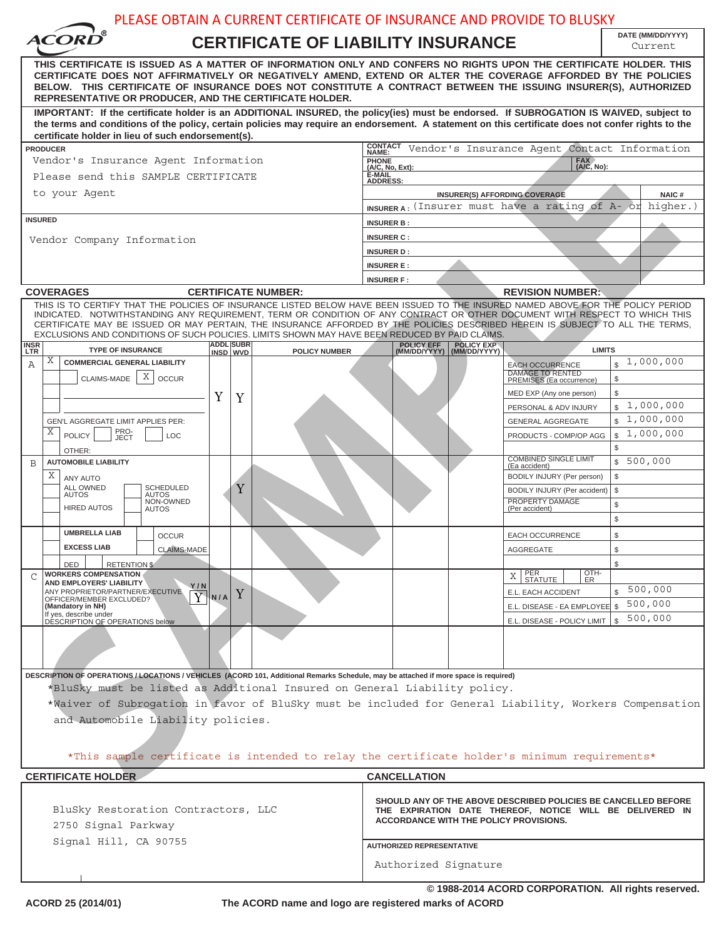| DATE (MM/DD/YYYY)<br><i><b>ACORD</b></i><br><b>CERTIFICATE OF LIABILITY INSURANCE</b><br>Current<br>THIS CERTIFICATE IS ISSUED AS A MATTER OF INFORMATION ONLY AND CONFERS NO RIGHTS UPON THE CERTIFICATE HOLDER. THIS<br>CERTIFICATE DOES NOT AFFIRMATIVELY OR NEGATIVELY AMEND, EXTEND OR ALTER THE COVERAGE AFFORDED BY THE POLICIES<br>BELOW. THIS CERTIFICATE OF INSURANCE DOES NOT CONSTITUTE A CONTRACT BETWEEN THE ISSUING INSURER(S), AUTHORIZED<br>REPRESENTATIVE OR PRODUCER, AND THE CERTIFICATE HOLDER.<br>IMPORTANT: If the certificate holder is an ADDITIONAL INSURED, the policy(ies) must be endorsed. If SUBROGATION IS WAIVED, subject to<br>the terms and conditions of the policy, certain policies may require an endorsement. A statement on this certificate does not confer rights to the<br>certificate holder in lieu of such endorsement(s).<br><b>CONTACT</b><br>Vendor's Insurance Agent Contact Information<br><b>PRODUCER</b><br>NAME:<br>FAX<br>(A/C, No):<br>Vendor's Insurance Agent Information<br>PHONE<br>(A/C, No, Ext):<br>E-MAIL<br>Please send this SAMPLE CERTIFICATE<br><b>ADDRESS:</b><br>to your Agent<br><b>INSURER(S) AFFORDING COVERAGE</b><br>NAIC#<br>INSURERA: (Insurer must have a rating of A- or higher.)<br><b>INSURED</b><br><b>INSURER B:</b><br><b>INSURER C:</b><br>Vendor Company Information<br><b>INSURER D:</b><br><b>INSURER E:</b><br><b>INSURER F:</b><br><b>COVERAGES</b><br><b>CERTIFICATE NUMBER:</b><br><b>REVISION NUMBER:</b><br>THIS IS TO CERTIFY THAT THE POLICIES OF INSURANCE LISTED BELOW HAVE BEEN ISSUED TO THE INSURED NAMED ABOVE FOR THE POLICY PERIOD<br>INDICATED. NOTWITHSTANDING ANY REQUIREMENT, TERM OR CONDITION OF ANY CONTRACT OR OTHER DOCUMENT WITH RESPECT TO WHICH THIS<br>CERTIFICATE MAY BE ISSUED OR MAY PERTAIN, THE INSURANCE AFFORDED BY THE POLICIES DESCRIBED HEREIN IS SUBJECT TO ALL THE TERMS,<br>EXCLUSIONS AND CONDITIONS OF SUCH POLICIES. LIMITS SHOWN MAY HAVE BEEN REDUCED BY PAID CLAIMS.<br><b>ADDL SUBR</b><br><b>POLICY EFF</b><br><b>POLICY EXP</b><br><b>INSR</b><br><b>TYPE OF INSURANCE</b><br><b>LIMITS</b><br><b>POLICY NUMBER</b><br>LTR<br>INSD WVD<br>(MM/DD/YYYY)   (MM/DD/YYYY)<br>Χ<br>1,000,000<br><b>COMMERCIAL GENERAL LIABILITY</b><br>$\mathbb{S}$<br>Α<br><b>EACH OCCURRENCE</b><br><b>DAMAGE TO RENTED</b><br>Χ<br>CLAIMS-MADE<br><b>OCCUR</b><br>\$<br>PREMISES (Ea occurrence)<br>\$<br>MED EXP (Any one person)<br>Y<br>Y<br>\$1,000,000<br>PERSONAL & ADV INJURY<br>\$1,000,000<br>GEN'L AGGREGATE LIMIT APPLIES PER:<br><b>GENERAL AGGREGATE</b><br>PRO-<br>JECT<br>х<br>1,000,000<br>$\mathbb{S}$<br><b>POLICY</b><br>LOC<br>PRODUCTS - COMP/OP AGG<br>\$<br>OTHER:<br><b>COMBINED SINGLE LIMIT</b><br>\$500,000<br><b>AUTOMOBILE LIABILITY</b><br>B<br>(Ea accident)<br>Χ<br>\$<br>BODILY INJURY (Per person)<br>ANY AUTO<br><b>ALL OWNED</b><br>Y<br><b>SCHEDULED</b><br>\$<br>BODILY INJURY (Per accident)<br><b>AUTOS</b><br>AUTOS<br>NON-OWNED<br>PROPERTY DAMAGE<br>\$<br><b>HIRED AUTOS</b><br>(Per accident)<br><b>AUTOS</b><br>\$<br><b>UMBRELLA LIAB</b><br>\$<br><b>OCCUR</b><br><b>EACH OCCURRENCE</b><br><b>EXCESS LIAB</b><br>\$<br><b>CLAIMS-MADE</b><br><b>AGGREGATE</b><br>\$<br>DED<br><b>RETENTION \$</b><br>OTH-<br>ER<br><b>WORKERS COMPENSATION</b><br>$X \mid$ PER<br>STATUTE<br>C<br><b>AND EMPLOYERS' LIABILITY</b><br>Y / N<br>500,000<br>$\mathbb{S}$<br>ANY PROPRIETOR/PARTNER/EXECUTIVE<br>E.L. EACH ACCIDENT<br>Y<br>$\overline{Y}$<br>N/A<br>OFFICER/MEMBER EXCLUDED?<br>500,000<br>E.L. DISEASE - EA EMPLOYEE \$<br>(Mandatory in NH)<br>If yes, describe under<br>500,000<br>$\mathbb S$<br>E.L. DISEASE - POLICY LIMIT<br>DÉSCRIPTION OF OPERATIONS below<br>DESCRIPTION OF OPERATIONS / LOCATIONS / VEHICLES (ACORD 101, Additional Remarks Schedule, may be attached if more space is required)<br>*BluSky must be listed as Additional Insured on General Liability policy.<br>*Waiver of Subrogation in favor of BluSky must be included for General Liability, Workers Compensation<br>and Automobile Liability policies.<br>*This sample certificate is intended to relay the certificate holder's minimum requirements*<br><b>CERTIFICATE HOLDER</b><br><b>CANCELLATION</b><br>SHOULD ANY OF THE ABOVE DESCRIBED POLICIES BE CANCELLED BEFORE<br>BluSky Restoration Contractors, LLC<br>THE EXPIRATION DATE THEREOF, NOTICE WILL BE DELIVERED IN<br><b>ACCORDANCE WITH THE POLICY PROVISIONS.</b> | PLEASE OBTAIN A CURRENT CERTIFICATE OF INSURANCE AND PROVIDE TO BLUSKY |  |  |  |  |  |  |  |  |
|--------------------------------------------------------------------------------------------------------------------------------------------------------------------------------------------------------------------------------------------------------------------------------------------------------------------------------------------------------------------------------------------------------------------------------------------------------------------------------------------------------------------------------------------------------------------------------------------------------------------------------------------------------------------------------------------------------------------------------------------------------------------------------------------------------------------------------------------------------------------------------------------------------------------------------------------------------------------------------------------------------------------------------------------------------------------------------------------------------------------------------------------------------------------------------------------------------------------------------------------------------------------------------------------------------------------------------------------------------------------------------------------------------------------------------------------------------------------------------------------------------------------------------------------------------------------------------------------------------------------------------------------------------------------------------------------------------------------------------------------------------------------------------------------------------------------------------------------------------------------------------------------------------------------------------------------------------------------------------------------------------------------------------------------------------------------------------------------------------------------------------------------------------------------------------------------------------------------------------------------------------------------------------------------------------------------------------------------------------------------------------------------------------------------------------------------------------------------------------------------------------------------------------------------------------------------------------------------------------------------------------------------------------------------------------------------------------------------------------------------------------------------------------------------------------------------------------------------------------------------------------------------------------------------------------------------------------------------------------------------------------------------------------------------------------------------------------------------------------------------------------------------------------------------------------------------------------------------------------------------------------------------------------------------------------------------------------------------------------------------------------------------------------------------------------------------------------------------------------------------------------------------------------------------------------------------------------------------------------------------------------------------------------------------------------------------------------------------------------------------------------------------------------------------------------------------------------------------------------------------------------------------------------------------------------------------------------------------------------------------------------------------------------------------------------------------------------------------------------------------------------------------------------------------------------------------------------------------------------------------------------------------------------------------------------------------------------------------------------------------------------------------------------------------------------------------------------------------------------------------|------------------------------------------------------------------------|--|--|--|--|--|--|--|--|
|                                                                                                                                                                                                                                                                                                                                                                                                                                                                                                                                                                                                                                                                                                                                                                                                                                                                                                                                                                                                                                                                                                                                                                                                                                                                                                                                                                                                                                                                                                                                                                                                                                                                                                                                                                                                                                                                                                                                                                                                                                                                                                                                                                                                                                                                                                                                                                                                                                                                                                                                                                                                                                                                                                                                                                                                                                                                                                                                                                                                                                                                                                                                                                                                                                                                                                                                                                                                                                                                                                                                                                                                                                                                                                                                                                                                                                                                                                                                                                                                                                                                                                                                                                                                                                                                                                                                                                                                                                                                                            |                                                                        |  |  |  |  |  |  |  |  |
|                                                                                                                                                                                                                                                                                                                                                                                                                                                                                                                                                                                                                                                                                                                                                                                                                                                                                                                                                                                                                                                                                                                                                                                                                                                                                                                                                                                                                                                                                                                                                                                                                                                                                                                                                                                                                                                                                                                                                                                                                                                                                                                                                                                                                                                                                                                                                                                                                                                                                                                                                                                                                                                                                                                                                                                                                                                                                                                                                                                                                                                                                                                                                                                                                                                                                                                                                                                                                                                                                                                                                                                                                                                                                                                                                                                                                                                                                                                                                                                                                                                                                                                                                                                                                                                                                                                                                                                                                                                                                            |                                                                        |  |  |  |  |  |  |  |  |
|                                                                                                                                                                                                                                                                                                                                                                                                                                                                                                                                                                                                                                                                                                                                                                                                                                                                                                                                                                                                                                                                                                                                                                                                                                                                                                                                                                                                                                                                                                                                                                                                                                                                                                                                                                                                                                                                                                                                                                                                                                                                                                                                                                                                                                                                                                                                                                                                                                                                                                                                                                                                                                                                                                                                                                                                                                                                                                                                                                                                                                                                                                                                                                                                                                                                                                                                                                                                                                                                                                                                                                                                                                                                                                                                                                                                                                                                                                                                                                                                                                                                                                                                                                                                                                                                                                                                                                                                                                                                                            |                                                                        |  |  |  |  |  |  |  |  |
|                                                                                                                                                                                                                                                                                                                                                                                                                                                                                                                                                                                                                                                                                                                                                                                                                                                                                                                                                                                                                                                                                                                                                                                                                                                                                                                                                                                                                                                                                                                                                                                                                                                                                                                                                                                                                                                                                                                                                                                                                                                                                                                                                                                                                                                                                                                                                                                                                                                                                                                                                                                                                                                                                                                                                                                                                                                                                                                                                                                                                                                                                                                                                                                                                                                                                                                                                                                                                                                                                                                                                                                                                                                                                                                                                                                                                                                                                                                                                                                                                                                                                                                                                                                                                                                                                                                                                                                                                                                                                            |                                                                        |  |  |  |  |  |  |  |  |
|                                                                                                                                                                                                                                                                                                                                                                                                                                                                                                                                                                                                                                                                                                                                                                                                                                                                                                                                                                                                                                                                                                                                                                                                                                                                                                                                                                                                                                                                                                                                                                                                                                                                                                                                                                                                                                                                                                                                                                                                                                                                                                                                                                                                                                                                                                                                                                                                                                                                                                                                                                                                                                                                                                                                                                                                                                                                                                                                                                                                                                                                                                                                                                                                                                                                                                                                                                                                                                                                                                                                                                                                                                                                                                                                                                                                                                                                                                                                                                                                                                                                                                                                                                                                                                                                                                                                                                                                                                                                                            |                                                                        |  |  |  |  |  |  |  |  |
|                                                                                                                                                                                                                                                                                                                                                                                                                                                                                                                                                                                                                                                                                                                                                                                                                                                                                                                                                                                                                                                                                                                                                                                                                                                                                                                                                                                                                                                                                                                                                                                                                                                                                                                                                                                                                                                                                                                                                                                                                                                                                                                                                                                                                                                                                                                                                                                                                                                                                                                                                                                                                                                                                                                                                                                                                                                                                                                                                                                                                                                                                                                                                                                                                                                                                                                                                                                                                                                                                                                                                                                                                                                                                                                                                                                                                                                                                                                                                                                                                                                                                                                                                                                                                                                                                                                                                                                                                                                                                            |                                                                        |  |  |  |  |  |  |  |  |
|                                                                                                                                                                                                                                                                                                                                                                                                                                                                                                                                                                                                                                                                                                                                                                                                                                                                                                                                                                                                                                                                                                                                                                                                                                                                                                                                                                                                                                                                                                                                                                                                                                                                                                                                                                                                                                                                                                                                                                                                                                                                                                                                                                                                                                                                                                                                                                                                                                                                                                                                                                                                                                                                                                                                                                                                                                                                                                                                                                                                                                                                                                                                                                                                                                                                                                                                                                                                                                                                                                                                                                                                                                                                                                                                                                                                                                                                                                                                                                                                                                                                                                                                                                                                                                                                                                                                                                                                                                                                                            |                                                                        |  |  |  |  |  |  |  |  |
|                                                                                                                                                                                                                                                                                                                                                                                                                                                                                                                                                                                                                                                                                                                                                                                                                                                                                                                                                                                                                                                                                                                                                                                                                                                                                                                                                                                                                                                                                                                                                                                                                                                                                                                                                                                                                                                                                                                                                                                                                                                                                                                                                                                                                                                                                                                                                                                                                                                                                                                                                                                                                                                                                                                                                                                                                                                                                                                                                                                                                                                                                                                                                                                                                                                                                                                                                                                                                                                                                                                                                                                                                                                                                                                                                                                                                                                                                                                                                                                                                                                                                                                                                                                                                                                                                                                                                                                                                                                                                            |                                                                        |  |  |  |  |  |  |  |  |
|                                                                                                                                                                                                                                                                                                                                                                                                                                                                                                                                                                                                                                                                                                                                                                                                                                                                                                                                                                                                                                                                                                                                                                                                                                                                                                                                                                                                                                                                                                                                                                                                                                                                                                                                                                                                                                                                                                                                                                                                                                                                                                                                                                                                                                                                                                                                                                                                                                                                                                                                                                                                                                                                                                                                                                                                                                                                                                                                                                                                                                                                                                                                                                                                                                                                                                                                                                                                                                                                                                                                                                                                                                                                                                                                                                                                                                                                                                                                                                                                                                                                                                                                                                                                                                                                                                                                                                                                                                                                                            |                                                                        |  |  |  |  |  |  |  |  |
|                                                                                                                                                                                                                                                                                                                                                                                                                                                                                                                                                                                                                                                                                                                                                                                                                                                                                                                                                                                                                                                                                                                                                                                                                                                                                                                                                                                                                                                                                                                                                                                                                                                                                                                                                                                                                                                                                                                                                                                                                                                                                                                                                                                                                                                                                                                                                                                                                                                                                                                                                                                                                                                                                                                                                                                                                                                                                                                                                                                                                                                                                                                                                                                                                                                                                                                                                                                                                                                                                                                                                                                                                                                                                                                                                                                                                                                                                                                                                                                                                                                                                                                                                                                                                                                                                                                                                                                                                                                                                            |                                                                        |  |  |  |  |  |  |  |  |
|                                                                                                                                                                                                                                                                                                                                                                                                                                                                                                                                                                                                                                                                                                                                                                                                                                                                                                                                                                                                                                                                                                                                                                                                                                                                                                                                                                                                                                                                                                                                                                                                                                                                                                                                                                                                                                                                                                                                                                                                                                                                                                                                                                                                                                                                                                                                                                                                                                                                                                                                                                                                                                                                                                                                                                                                                                                                                                                                                                                                                                                                                                                                                                                                                                                                                                                                                                                                                                                                                                                                                                                                                                                                                                                                                                                                                                                                                                                                                                                                                                                                                                                                                                                                                                                                                                                                                                                                                                                                                            |                                                                        |  |  |  |  |  |  |  |  |
|                                                                                                                                                                                                                                                                                                                                                                                                                                                                                                                                                                                                                                                                                                                                                                                                                                                                                                                                                                                                                                                                                                                                                                                                                                                                                                                                                                                                                                                                                                                                                                                                                                                                                                                                                                                                                                                                                                                                                                                                                                                                                                                                                                                                                                                                                                                                                                                                                                                                                                                                                                                                                                                                                                                                                                                                                                                                                                                                                                                                                                                                                                                                                                                                                                                                                                                                                                                                                                                                                                                                                                                                                                                                                                                                                                                                                                                                                                                                                                                                                                                                                                                                                                                                                                                                                                                                                                                                                                                                                            |                                                                        |  |  |  |  |  |  |  |  |
|                                                                                                                                                                                                                                                                                                                                                                                                                                                                                                                                                                                                                                                                                                                                                                                                                                                                                                                                                                                                                                                                                                                                                                                                                                                                                                                                                                                                                                                                                                                                                                                                                                                                                                                                                                                                                                                                                                                                                                                                                                                                                                                                                                                                                                                                                                                                                                                                                                                                                                                                                                                                                                                                                                                                                                                                                                                                                                                                                                                                                                                                                                                                                                                                                                                                                                                                                                                                                                                                                                                                                                                                                                                                                                                                                                                                                                                                                                                                                                                                                                                                                                                                                                                                                                                                                                                                                                                                                                                                                            |                                                                        |  |  |  |  |  |  |  |  |
|                                                                                                                                                                                                                                                                                                                                                                                                                                                                                                                                                                                                                                                                                                                                                                                                                                                                                                                                                                                                                                                                                                                                                                                                                                                                                                                                                                                                                                                                                                                                                                                                                                                                                                                                                                                                                                                                                                                                                                                                                                                                                                                                                                                                                                                                                                                                                                                                                                                                                                                                                                                                                                                                                                                                                                                                                                                                                                                                                                                                                                                                                                                                                                                                                                                                                                                                                                                                                                                                                                                                                                                                                                                                                                                                                                                                                                                                                                                                                                                                                                                                                                                                                                                                                                                                                                                                                                                                                                                                                            |                                                                        |  |  |  |  |  |  |  |  |
|                                                                                                                                                                                                                                                                                                                                                                                                                                                                                                                                                                                                                                                                                                                                                                                                                                                                                                                                                                                                                                                                                                                                                                                                                                                                                                                                                                                                                                                                                                                                                                                                                                                                                                                                                                                                                                                                                                                                                                                                                                                                                                                                                                                                                                                                                                                                                                                                                                                                                                                                                                                                                                                                                                                                                                                                                                                                                                                                                                                                                                                                                                                                                                                                                                                                                                                                                                                                                                                                                                                                                                                                                                                                                                                                                                                                                                                                                                                                                                                                                                                                                                                                                                                                                                                                                                                                                                                                                                                                                            |                                                                        |  |  |  |  |  |  |  |  |
|                                                                                                                                                                                                                                                                                                                                                                                                                                                                                                                                                                                                                                                                                                                                                                                                                                                                                                                                                                                                                                                                                                                                                                                                                                                                                                                                                                                                                                                                                                                                                                                                                                                                                                                                                                                                                                                                                                                                                                                                                                                                                                                                                                                                                                                                                                                                                                                                                                                                                                                                                                                                                                                                                                                                                                                                                                                                                                                                                                                                                                                                                                                                                                                                                                                                                                                                                                                                                                                                                                                                                                                                                                                                                                                                                                                                                                                                                                                                                                                                                                                                                                                                                                                                                                                                                                                                                                                                                                                                                            |                                                                        |  |  |  |  |  |  |  |  |
|                                                                                                                                                                                                                                                                                                                                                                                                                                                                                                                                                                                                                                                                                                                                                                                                                                                                                                                                                                                                                                                                                                                                                                                                                                                                                                                                                                                                                                                                                                                                                                                                                                                                                                                                                                                                                                                                                                                                                                                                                                                                                                                                                                                                                                                                                                                                                                                                                                                                                                                                                                                                                                                                                                                                                                                                                                                                                                                                                                                                                                                                                                                                                                                                                                                                                                                                                                                                                                                                                                                                                                                                                                                                                                                                                                                                                                                                                                                                                                                                                                                                                                                                                                                                                                                                                                                                                                                                                                                                                            |                                                                        |  |  |  |  |  |  |  |  |
|                                                                                                                                                                                                                                                                                                                                                                                                                                                                                                                                                                                                                                                                                                                                                                                                                                                                                                                                                                                                                                                                                                                                                                                                                                                                                                                                                                                                                                                                                                                                                                                                                                                                                                                                                                                                                                                                                                                                                                                                                                                                                                                                                                                                                                                                                                                                                                                                                                                                                                                                                                                                                                                                                                                                                                                                                                                                                                                                                                                                                                                                                                                                                                                                                                                                                                                                                                                                                                                                                                                                                                                                                                                                                                                                                                                                                                                                                                                                                                                                                                                                                                                                                                                                                                                                                                                                                                                                                                                                                            |                                                                        |  |  |  |  |  |  |  |  |
|                                                                                                                                                                                                                                                                                                                                                                                                                                                                                                                                                                                                                                                                                                                                                                                                                                                                                                                                                                                                                                                                                                                                                                                                                                                                                                                                                                                                                                                                                                                                                                                                                                                                                                                                                                                                                                                                                                                                                                                                                                                                                                                                                                                                                                                                                                                                                                                                                                                                                                                                                                                                                                                                                                                                                                                                                                                                                                                                                                                                                                                                                                                                                                                                                                                                                                                                                                                                                                                                                                                                                                                                                                                                                                                                                                                                                                                                                                                                                                                                                                                                                                                                                                                                                                                                                                                                                                                                                                                                                            |                                                                        |  |  |  |  |  |  |  |  |
|                                                                                                                                                                                                                                                                                                                                                                                                                                                                                                                                                                                                                                                                                                                                                                                                                                                                                                                                                                                                                                                                                                                                                                                                                                                                                                                                                                                                                                                                                                                                                                                                                                                                                                                                                                                                                                                                                                                                                                                                                                                                                                                                                                                                                                                                                                                                                                                                                                                                                                                                                                                                                                                                                                                                                                                                                                                                                                                                                                                                                                                                                                                                                                                                                                                                                                                                                                                                                                                                                                                                                                                                                                                                                                                                                                                                                                                                                                                                                                                                                                                                                                                                                                                                                                                                                                                                                                                                                                                                                            |                                                                        |  |  |  |  |  |  |  |  |
|                                                                                                                                                                                                                                                                                                                                                                                                                                                                                                                                                                                                                                                                                                                                                                                                                                                                                                                                                                                                                                                                                                                                                                                                                                                                                                                                                                                                                                                                                                                                                                                                                                                                                                                                                                                                                                                                                                                                                                                                                                                                                                                                                                                                                                                                                                                                                                                                                                                                                                                                                                                                                                                                                                                                                                                                                                                                                                                                                                                                                                                                                                                                                                                                                                                                                                                                                                                                                                                                                                                                                                                                                                                                                                                                                                                                                                                                                                                                                                                                                                                                                                                                                                                                                                                                                                                                                                                                                                                                                            |                                                                        |  |  |  |  |  |  |  |  |
|                                                                                                                                                                                                                                                                                                                                                                                                                                                                                                                                                                                                                                                                                                                                                                                                                                                                                                                                                                                                                                                                                                                                                                                                                                                                                                                                                                                                                                                                                                                                                                                                                                                                                                                                                                                                                                                                                                                                                                                                                                                                                                                                                                                                                                                                                                                                                                                                                                                                                                                                                                                                                                                                                                                                                                                                                                                                                                                                                                                                                                                                                                                                                                                                                                                                                                                                                                                                                                                                                                                                                                                                                                                                                                                                                                                                                                                                                                                                                                                                                                                                                                                                                                                                                                                                                                                                                                                                                                                                                            |                                                                        |  |  |  |  |  |  |  |  |
|                                                                                                                                                                                                                                                                                                                                                                                                                                                                                                                                                                                                                                                                                                                                                                                                                                                                                                                                                                                                                                                                                                                                                                                                                                                                                                                                                                                                                                                                                                                                                                                                                                                                                                                                                                                                                                                                                                                                                                                                                                                                                                                                                                                                                                                                                                                                                                                                                                                                                                                                                                                                                                                                                                                                                                                                                                                                                                                                                                                                                                                                                                                                                                                                                                                                                                                                                                                                                                                                                                                                                                                                                                                                                                                                                                                                                                                                                                                                                                                                                                                                                                                                                                                                                                                                                                                                                                                                                                                                                            |                                                                        |  |  |  |  |  |  |  |  |
|                                                                                                                                                                                                                                                                                                                                                                                                                                                                                                                                                                                                                                                                                                                                                                                                                                                                                                                                                                                                                                                                                                                                                                                                                                                                                                                                                                                                                                                                                                                                                                                                                                                                                                                                                                                                                                                                                                                                                                                                                                                                                                                                                                                                                                                                                                                                                                                                                                                                                                                                                                                                                                                                                                                                                                                                                                                                                                                                                                                                                                                                                                                                                                                                                                                                                                                                                                                                                                                                                                                                                                                                                                                                                                                                                                                                                                                                                                                                                                                                                                                                                                                                                                                                                                                                                                                                                                                                                                                                                            |                                                                        |  |  |  |  |  |  |  |  |
|                                                                                                                                                                                                                                                                                                                                                                                                                                                                                                                                                                                                                                                                                                                                                                                                                                                                                                                                                                                                                                                                                                                                                                                                                                                                                                                                                                                                                                                                                                                                                                                                                                                                                                                                                                                                                                                                                                                                                                                                                                                                                                                                                                                                                                                                                                                                                                                                                                                                                                                                                                                                                                                                                                                                                                                                                                                                                                                                                                                                                                                                                                                                                                                                                                                                                                                                                                                                                                                                                                                                                                                                                                                                                                                                                                                                                                                                                                                                                                                                                                                                                                                                                                                                                                                                                                                                                                                                                                                                                            |                                                                        |  |  |  |  |  |  |  |  |
|                                                                                                                                                                                                                                                                                                                                                                                                                                                                                                                                                                                                                                                                                                                                                                                                                                                                                                                                                                                                                                                                                                                                                                                                                                                                                                                                                                                                                                                                                                                                                                                                                                                                                                                                                                                                                                                                                                                                                                                                                                                                                                                                                                                                                                                                                                                                                                                                                                                                                                                                                                                                                                                                                                                                                                                                                                                                                                                                                                                                                                                                                                                                                                                                                                                                                                                                                                                                                                                                                                                                                                                                                                                                                                                                                                                                                                                                                                                                                                                                                                                                                                                                                                                                                                                                                                                                                                                                                                                                                            |                                                                        |  |  |  |  |  |  |  |  |
|                                                                                                                                                                                                                                                                                                                                                                                                                                                                                                                                                                                                                                                                                                                                                                                                                                                                                                                                                                                                                                                                                                                                                                                                                                                                                                                                                                                                                                                                                                                                                                                                                                                                                                                                                                                                                                                                                                                                                                                                                                                                                                                                                                                                                                                                                                                                                                                                                                                                                                                                                                                                                                                                                                                                                                                                                                                                                                                                                                                                                                                                                                                                                                                                                                                                                                                                                                                                                                                                                                                                                                                                                                                                                                                                                                                                                                                                                                                                                                                                                                                                                                                                                                                                                                                                                                                                                                                                                                                                                            |                                                                        |  |  |  |  |  |  |  |  |
|                                                                                                                                                                                                                                                                                                                                                                                                                                                                                                                                                                                                                                                                                                                                                                                                                                                                                                                                                                                                                                                                                                                                                                                                                                                                                                                                                                                                                                                                                                                                                                                                                                                                                                                                                                                                                                                                                                                                                                                                                                                                                                                                                                                                                                                                                                                                                                                                                                                                                                                                                                                                                                                                                                                                                                                                                                                                                                                                                                                                                                                                                                                                                                                                                                                                                                                                                                                                                                                                                                                                                                                                                                                                                                                                                                                                                                                                                                                                                                                                                                                                                                                                                                                                                                                                                                                                                                                                                                                                                            |                                                                        |  |  |  |  |  |  |  |  |
|                                                                                                                                                                                                                                                                                                                                                                                                                                                                                                                                                                                                                                                                                                                                                                                                                                                                                                                                                                                                                                                                                                                                                                                                                                                                                                                                                                                                                                                                                                                                                                                                                                                                                                                                                                                                                                                                                                                                                                                                                                                                                                                                                                                                                                                                                                                                                                                                                                                                                                                                                                                                                                                                                                                                                                                                                                                                                                                                                                                                                                                                                                                                                                                                                                                                                                                                                                                                                                                                                                                                                                                                                                                                                                                                                                                                                                                                                                                                                                                                                                                                                                                                                                                                                                                                                                                                                                                                                                                                                            |                                                                        |  |  |  |  |  |  |  |  |
|                                                                                                                                                                                                                                                                                                                                                                                                                                                                                                                                                                                                                                                                                                                                                                                                                                                                                                                                                                                                                                                                                                                                                                                                                                                                                                                                                                                                                                                                                                                                                                                                                                                                                                                                                                                                                                                                                                                                                                                                                                                                                                                                                                                                                                                                                                                                                                                                                                                                                                                                                                                                                                                                                                                                                                                                                                                                                                                                                                                                                                                                                                                                                                                                                                                                                                                                                                                                                                                                                                                                                                                                                                                                                                                                                                                                                                                                                                                                                                                                                                                                                                                                                                                                                                                                                                                                                                                                                                                                                            |                                                                        |  |  |  |  |  |  |  |  |
|                                                                                                                                                                                                                                                                                                                                                                                                                                                                                                                                                                                                                                                                                                                                                                                                                                                                                                                                                                                                                                                                                                                                                                                                                                                                                                                                                                                                                                                                                                                                                                                                                                                                                                                                                                                                                                                                                                                                                                                                                                                                                                                                                                                                                                                                                                                                                                                                                                                                                                                                                                                                                                                                                                                                                                                                                                                                                                                                                                                                                                                                                                                                                                                                                                                                                                                                                                                                                                                                                                                                                                                                                                                                                                                                                                                                                                                                                                                                                                                                                                                                                                                                                                                                                                                                                                                                                                                                                                                                                            |                                                                        |  |  |  |  |  |  |  |  |
|                                                                                                                                                                                                                                                                                                                                                                                                                                                                                                                                                                                                                                                                                                                                                                                                                                                                                                                                                                                                                                                                                                                                                                                                                                                                                                                                                                                                                                                                                                                                                                                                                                                                                                                                                                                                                                                                                                                                                                                                                                                                                                                                                                                                                                                                                                                                                                                                                                                                                                                                                                                                                                                                                                                                                                                                                                                                                                                                                                                                                                                                                                                                                                                                                                                                                                                                                                                                                                                                                                                                                                                                                                                                                                                                                                                                                                                                                                                                                                                                                                                                                                                                                                                                                                                                                                                                                                                                                                                                                            |                                                                        |  |  |  |  |  |  |  |  |
|                                                                                                                                                                                                                                                                                                                                                                                                                                                                                                                                                                                                                                                                                                                                                                                                                                                                                                                                                                                                                                                                                                                                                                                                                                                                                                                                                                                                                                                                                                                                                                                                                                                                                                                                                                                                                                                                                                                                                                                                                                                                                                                                                                                                                                                                                                                                                                                                                                                                                                                                                                                                                                                                                                                                                                                                                                                                                                                                                                                                                                                                                                                                                                                                                                                                                                                                                                                                                                                                                                                                                                                                                                                                                                                                                                                                                                                                                                                                                                                                                                                                                                                                                                                                                                                                                                                                                                                                                                                                                            |                                                                        |  |  |  |  |  |  |  |  |
|                                                                                                                                                                                                                                                                                                                                                                                                                                                                                                                                                                                                                                                                                                                                                                                                                                                                                                                                                                                                                                                                                                                                                                                                                                                                                                                                                                                                                                                                                                                                                                                                                                                                                                                                                                                                                                                                                                                                                                                                                                                                                                                                                                                                                                                                                                                                                                                                                                                                                                                                                                                                                                                                                                                                                                                                                                                                                                                                                                                                                                                                                                                                                                                                                                                                                                                                                                                                                                                                                                                                                                                                                                                                                                                                                                                                                                                                                                                                                                                                                                                                                                                                                                                                                                                                                                                                                                                                                                                                                            |                                                                        |  |  |  |  |  |  |  |  |
|                                                                                                                                                                                                                                                                                                                                                                                                                                                                                                                                                                                                                                                                                                                                                                                                                                                                                                                                                                                                                                                                                                                                                                                                                                                                                                                                                                                                                                                                                                                                                                                                                                                                                                                                                                                                                                                                                                                                                                                                                                                                                                                                                                                                                                                                                                                                                                                                                                                                                                                                                                                                                                                                                                                                                                                                                                                                                                                                                                                                                                                                                                                                                                                                                                                                                                                                                                                                                                                                                                                                                                                                                                                                                                                                                                                                                                                                                                                                                                                                                                                                                                                                                                                                                                                                                                                                                                                                                                                                                            |                                                                        |  |  |  |  |  |  |  |  |
|                                                                                                                                                                                                                                                                                                                                                                                                                                                                                                                                                                                                                                                                                                                                                                                                                                                                                                                                                                                                                                                                                                                                                                                                                                                                                                                                                                                                                                                                                                                                                                                                                                                                                                                                                                                                                                                                                                                                                                                                                                                                                                                                                                                                                                                                                                                                                                                                                                                                                                                                                                                                                                                                                                                                                                                                                                                                                                                                                                                                                                                                                                                                                                                                                                                                                                                                                                                                                                                                                                                                                                                                                                                                                                                                                                                                                                                                                                                                                                                                                                                                                                                                                                                                                                                                                                                                                                                                                                                                                            |                                                                        |  |  |  |  |  |  |  |  |
|                                                                                                                                                                                                                                                                                                                                                                                                                                                                                                                                                                                                                                                                                                                                                                                                                                                                                                                                                                                                                                                                                                                                                                                                                                                                                                                                                                                                                                                                                                                                                                                                                                                                                                                                                                                                                                                                                                                                                                                                                                                                                                                                                                                                                                                                                                                                                                                                                                                                                                                                                                                                                                                                                                                                                                                                                                                                                                                                                                                                                                                                                                                                                                                                                                                                                                                                                                                                                                                                                                                                                                                                                                                                                                                                                                                                                                                                                                                                                                                                                                                                                                                                                                                                                                                                                                                                                                                                                                                                                            |                                                                        |  |  |  |  |  |  |  |  |
|                                                                                                                                                                                                                                                                                                                                                                                                                                                                                                                                                                                                                                                                                                                                                                                                                                                                                                                                                                                                                                                                                                                                                                                                                                                                                                                                                                                                                                                                                                                                                                                                                                                                                                                                                                                                                                                                                                                                                                                                                                                                                                                                                                                                                                                                                                                                                                                                                                                                                                                                                                                                                                                                                                                                                                                                                                                                                                                                                                                                                                                                                                                                                                                                                                                                                                                                                                                                                                                                                                                                                                                                                                                                                                                                                                                                                                                                                                                                                                                                                                                                                                                                                                                                                                                                                                                                                                                                                                                                                            |                                                                        |  |  |  |  |  |  |  |  |
|                                                                                                                                                                                                                                                                                                                                                                                                                                                                                                                                                                                                                                                                                                                                                                                                                                                                                                                                                                                                                                                                                                                                                                                                                                                                                                                                                                                                                                                                                                                                                                                                                                                                                                                                                                                                                                                                                                                                                                                                                                                                                                                                                                                                                                                                                                                                                                                                                                                                                                                                                                                                                                                                                                                                                                                                                                                                                                                                                                                                                                                                                                                                                                                                                                                                                                                                                                                                                                                                                                                                                                                                                                                                                                                                                                                                                                                                                                                                                                                                                                                                                                                                                                                                                                                                                                                                                                                                                                                                                            |                                                                        |  |  |  |  |  |  |  |  |
|                                                                                                                                                                                                                                                                                                                                                                                                                                                                                                                                                                                                                                                                                                                                                                                                                                                                                                                                                                                                                                                                                                                                                                                                                                                                                                                                                                                                                                                                                                                                                                                                                                                                                                                                                                                                                                                                                                                                                                                                                                                                                                                                                                                                                                                                                                                                                                                                                                                                                                                                                                                                                                                                                                                                                                                                                                                                                                                                                                                                                                                                                                                                                                                                                                                                                                                                                                                                                                                                                                                                                                                                                                                                                                                                                                                                                                                                                                                                                                                                                                                                                                                                                                                                                                                                                                                                                                                                                                                                                            |                                                                        |  |  |  |  |  |  |  |  |
|                                                                                                                                                                                                                                                                                                                                                                                                                                                                                                                                                                                                                                                                                                                                                                                                                                                                                                                                                                                                                                                                                                                                                                                                                                                                                                                                                                                                                                                                                                                                                                                                                                                                                                                                                                                                                                                                                                                                                                                                                                                                                                                                                                                                                                                                                                                                                                                                                                                                                                                                                                                                                                                                                                                                                                                                                                                                                                                                                                                                                                                                                                                                                                                                                                                                                                                                                                                                                                                                                                                                                                                                                                                                                                                                                                                                                                                                                                                                                                                                                                                                                                                                                                                                                                                                                                                                                                                                                                                                                            |                                                                        |  |  |  |  |  |  |  |  |
|                                                                                                                                                                                                                                                                                                                                                                                                                                                                                                                                                                                                                                                                                                                                                                                                                                                                                                                                                                                                                                                                                                                                                                                                                                                                                                                                                                                                                                                                                                                                                                                                                                                                                                                                                                                                                                                                                                                                                                                                                                                                                                                                                                                                                                                                                                                                                                                                                                                                                                                                                                                                                                                                                                                                                                                                                                                                                                                                                                                                                                                                                                                                                                                                                                                                                                                                                                                                                                                                                                                                                                                                                                                                                                                                                                                                                                                                                                                                                                                                                                                                                                                                                                                                                                                                                                                                                                                                                                                                                            |                                                                        |  |  |  |  |  |  |  |  |
|                                                                                                                                                                                                                                                                                                                                                                                                                                                                                                                                                                                                                                                                                                                                                                                                                                                                                                                                                                                                                                                                                                                                                                                                                                                                                                                                                                                                                                                                                                                                                                                                                                                                                                                                                                                                                                                                                                                                                                                                                                                                                                                                                                                                                                                                                                                                                                                                                                                                                                                                                                                                                                                                                                                                                                                                                                                                                                                                                                                                                                                                                                                                                                                                                                                                                                                                                                                                                                                                                                                                                                                                                                                                                                                                                                                                                                                                                                                                                                                                                                                                                                                                                                                                                                                                                                                                                                                                                                                                                            |                                                                        |  |  |  |  |  |  |  |  |
|                                                                                                                                                                                                                                                                                                                                                                                                                                                                                                                                                                                                                                                                                                                                                                                                                                                                                                                                                                                                                                                                                                                                                                                                                                                                                                                                                                                                                                                                                                                                                                                                                                                                                                                                                                                                                                                                                                                                                                                                                                                                                                                                                                                                                                                                                                                                                                                                                                                                                                                                                                                                                                                                                                                                                                                                                                                                                                                                                                                                                                                                                                                                                                                                                                                                                                                                                                                                                                                                                                                                                                                                                                                                                                                                                                                                                                                                                                                                                                                                                                                                                                                                                                                                                                                                                                                                                                                                                                                                                            | 2750 Signal Parkway                                                    |  |  |  |  |  |  |  |  |

Signal Hill, CA 90755

**AUTHORIZED REPRESENTATIVE**

Authorized Signature

**© 1988-2014 ACORD CORPORATION. All rights reserved.**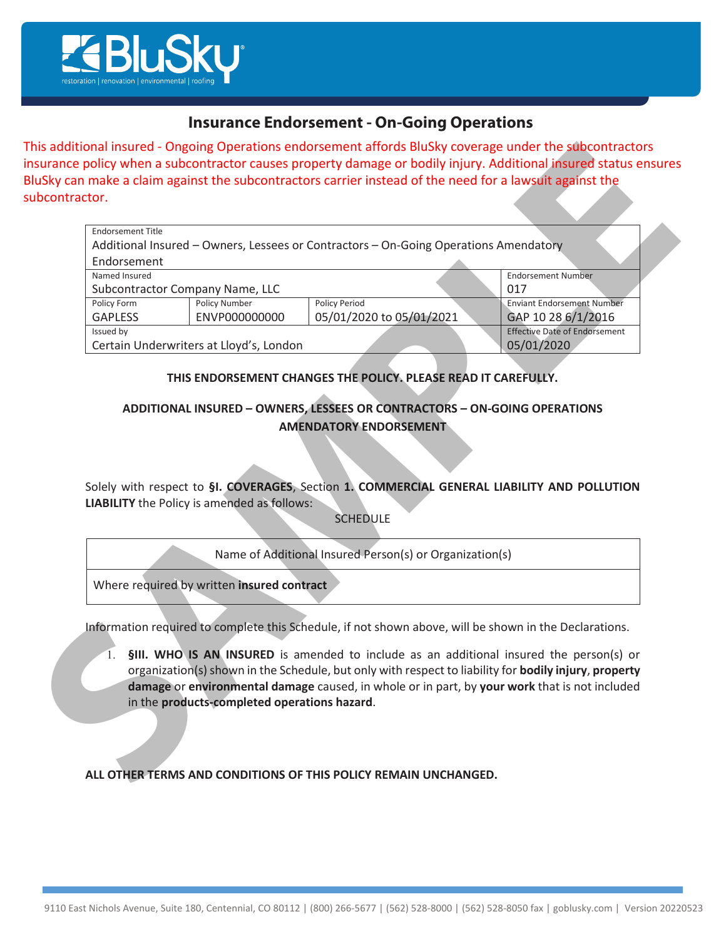

# **Insurance Endorsement - On-Going Operations**

| ubcontractor.            |                                                    |                                                                                                                                                                           |                                      |
|--------------------------|----------------------------------------------------|---------------------------------------------------------------------------------------------------------------------------------------------------------------------------|--------------------------------------|
| <b>Endorsement Title</b> |                                                    | Additional Insured - Owners, Lessees or Contractors - On-Going Operations Amendatory                                                                                      |                                      |
| Endorsement              |                                                    |                                                                                                                                                                           |                                      |
| Named Insured            | <b>Endorsement Number</b>                          |                                                                                                                                                                           |                                      |
|                          | Subcontractor Company Name, LLC                    | 017                                                                                                                                                                       |                                      |
| Policy Form              | <b>Policy Number</b>                               | <b>Policy Period</b>                                                                                                                                                      | <b>Enviant Endorsement Number</b>    |
| <b>GAPLESS</b>           | ENVP000000000                                      | 05/01/2020 to 05/01/2021                                                                                                                                                  | GAP 10 28 6/1/2016                   |
| Issued by                |                                                    |                                                                                                                                                                           | <b>Effective Date of Endorsement</b> |
|                          | Certain Underwriters at Lloyd's, London            |                                                                                                                                                                           | 05/01/2020                           |
|                          |                                                    | <b>AMENDATORY ENDORSEMENT</b>                                                                                                                                             |                                      |
|                          | <b>LIABILITY</b> the Policy is amended as follows: | Solely with respect to §I. COVERAGES, Section 1. COMMERCIAL GENERAL LIABILITY AND POLLUTION<br><b>SCHEDULE</b><br>Name of Additional Insured Person(s) or Organization(s) |                                      |
|                          | Where required by written insured contract         |                                                                                                                                                                           |                                      |

### THIS ENDORSEMENT CHANGES THE POLICY. PLEASE READ IT CAREFULLY.

## **ADDITIONAL INSURED - OWNERS, LESSEES OR CONTRACTORS - ON-GOING OPERATIONS AMENDATORY ENDORSEMENT**